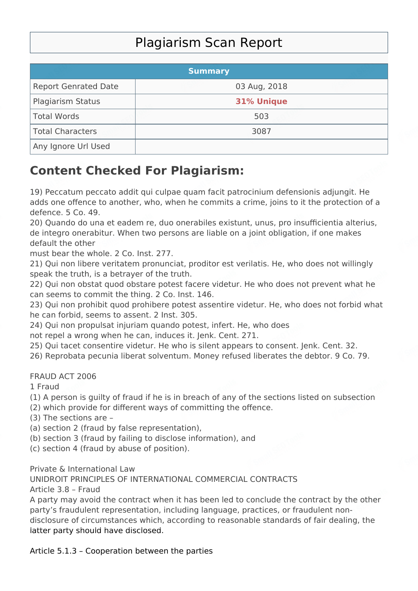## Plagiarism Scan Report

|                             | <b>Summary</b>    |  |
|-----------------------------|-------------------|--|
| <b>Report Genrated Date</b> | 03 Aug, 2018      |  |
| <b>Plagiarism Status</b>    | <b>31% Unique</b> |  |
| Total Words                 | 503               |  |
| Total Characters            | 3087              |  |
| Any Ignore Url Used         |                   |  |

## **Content Checked For Plagiarism:**

19) Peccatum peccato addit qui culpae quam facit patrocinium defensionis adjungit. He adds one offence to another, who, when he commits a crime, joins to it the protection of a defence. 5 Co. 49.

20) Quando do una et eadem re, duo onerabiles existunt, unus, pro insufficientia alterius, de integro onerabitur. When two persons are liable on a joint obligation, if one makes default the other

must bear the whole. 2 Co. Inst. 277.

21) Qui non libere veritatem pronunciat, proditor est verilatis. He, who does not willingly speak the truth, is a betrayer of the truth.

22) Qui non obstat quod obstare potest facere videtur. He who does not prevent what he can seems to commit the thing. 2 Co. Inst. 146.

23) Qui non prohibit quod prohibere potest assentire videtur. He, who does not forbid what he can forbid, seems to assent. 2 Inst. 305.

24) Qui non propulsat injuriam quando potest, infert. He, who does

not repel a wrong when he can, induces it. Jenk. Cent. 271.

25) Qui tacet consentire videtur. He who is silent appears to consent. Jenk. Cent. 32.

26) Reprobata pecunia liberat solventum. Money refused liberates the debtor. 9 Co. 79.

## FRAUD ACT 2006

1 Fraud

- (1) A person is guilty of fraud if he is in breach of any of the sections listed on subsection
- (2) which provide for different ways of committing the offence.
- (3) The sections are –
- (a) section 2 (fraud by false representation),
- (b) section 3 (fraud by failing to disclose information), and
- (c) section 4 (fraud by abuse of position).

Private & International Law

UNIDROIT PRINCIPLES OF INTERNATIONAL COMMERCIAL CONTRACTS Article 3.8 – Fraud

A party may avoid the contract when it has been led to conclude the contract by the other party's fraudulent representation, including language, practices, or fraudulent nondisclosure of circumstances which, according to reasonable standards of fair dealing, the latter party should have disclosed.

Article 5.1.3 – Cooperation between the parties